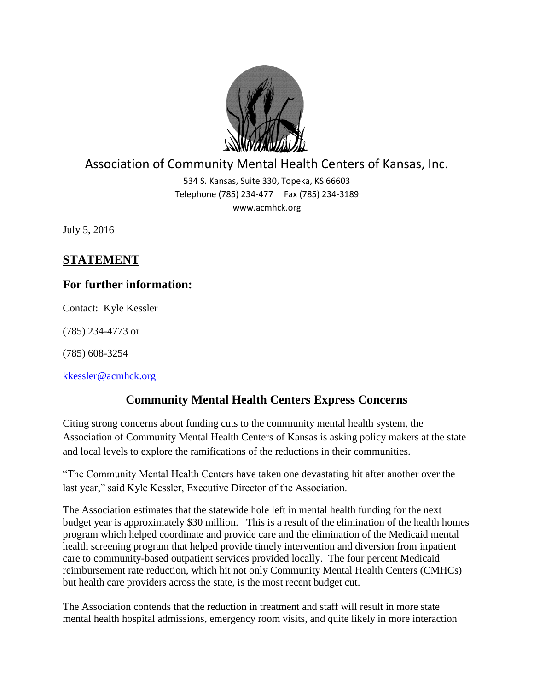

## Association of Community Mental Health Centers of Kansas, Inc.

534 S. Kansas, Suite 330, Topeka, KS 66603 Telephone (785) 234-477 Fax (785) 234-3189 www.acmhck.org

July 5, 2016

## **STATEMENT**

## **For further information:**

Contact: Kyle Kessler

(785) 234-4773 or

(785) 608-3254

[kkessler@acmhck.org](mailto:kkessler@acmhck.org)

## **Community Mental Health Centers Express Concerns**

Citing strong concerns about funding cuts to the community mental health system, the Association of Community Mental Health Centers of Kansas is asking policy makers at the state and local levels to explore the ramifications of the reductions in their communities.

"The Community Mental Health Centers have taken one devastating hit after another over the last year," said Kyle Kessler, Executive Director of the Association.

The Association estimates that the statewide hole left in mental health funding for the next budget year is approximately \$30 million. This is a result of the elimination of the health homes program which helped coordinate and provide care and the elimination of the Medicaid mental health screening program that helped provide timely intervention and diversion from inpatient care to community-based outpatient services provided locally. The four percent Medicaid reimbursement rate reduction, which hit not only Community Mental Health Centers (CMHCs) but health care providers across the state, is the most recent budget cut.

The Association contends that the reduction in treatment and staff will result in more state mental health hospital admissions, emergency room visits, and quite likely in more interaction